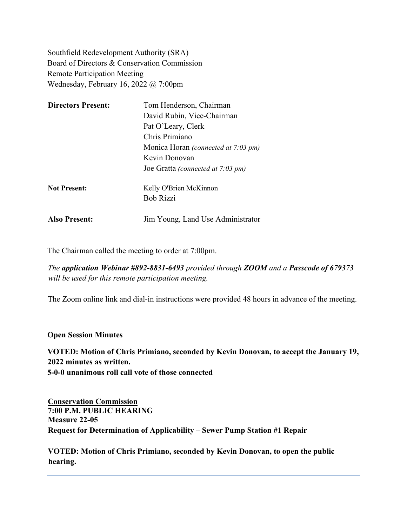Southfield Redevelopment Authority (SRA) Board of Directors & Conservation Commission Remote Participation Meeting Wednesday, February 16, 2022 @ 7:00pm

| <b>Directors Present:</b> | Tom Henderson, Chairman                    |
|---------------------------|--------------------------------------------|
|                           | David Rubin, Vice-Chairman                 |
|                           | Pat O'Leary, Clerk                         |
|                           | Chris Primiano                             |
|                           | Monica Horan <i>(connected at 7:03 pm)</i> |
|                           | Kevin Donovan                              |
|                           | Joe Gratta (connected at 7:03 pm)          |
| <b>Not Present:</b>       | Kelly O'Brien McKinnon                     |
|                           | <b>Bob Rizzi</b>                           |
| <b>Also Present:</b>      | Jim Young, Land Use Administrator          |

The Chairman called the meeting to order at 7:00pm.

*The application Webinar #892-8831-6493 provided through ZOOM and a Passcode of 679373 will be used for this remote participation meeting.* 

The Zoom online link and dial-in instructions were provided 48 hours in advance of the meeting.

#### **Open Session Minutes**

**VOTED: Motion of Chris Primiano, seconded by Kevin Donovan, to accept the January 19, 2022 minutes as written. 5-0-0 unanimous roll call vote of those connected** 

**Conservation Commission 7:00 P.M. PUBLIC HEARING Measure 22-05 Request for Determination of Applicability – Sewer Pump Station #1 Repair** 

**VOTED: Motion of Chris Primiano, seconded by Kevin Donovan, to open the public hearing.**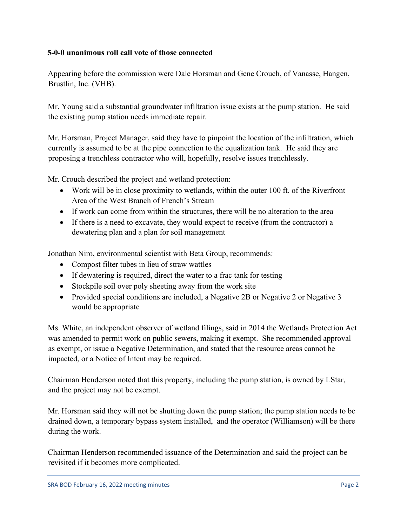## **5-0-0 unanimous roll call vote of those connected**

Appearing before the commission were Dale Horsman and Gene Crouch, of Vanasse, Hangen, Brustlin, Inc. (VHB).

Mr. Young said a substantial groundwater infiltration issue exists at the pump station. He said the existing pump station needs immediate repair.

Mr. Horsman, Project Manager, said they have to pinpoint the location of the infiltration, which currently is assumed to be at the pipe connection to the equalization tank. He said they are proposing a trenchless contractor who will, hopefully, resolve issues trenchlessly.

Mr. Crouch described the project and wetland protection:

- Work will be in close proximity to wetlands, within the outer 100 ft. of the Riverfront Area of the West Branch of French's Stream
- If work can come from within the structures, there will be no alteration to the area
- If there is a need to excavate, they would expect to receive (from the contractor) a dewatering plan and a plan for soil management

Jonathan Niro, environmental scientist with Beta Group, recommends:

- Compost filter tubes in lieu of straw wattles
- If dewatering is required, direct the water to a fractank for testing
- Stockpile soil over poly sheeting away from the work site
- Provided special conditions are included, a Negative 2B or Negative 2 or Negative 3 would be appropriate

Ms. White, an independent observer of wetland filings, said in 2014 the Wetlands Protection Act was amended to permit work on public sewers, making it exempt. She recommended approval as exempt, or issue a Negative Determination, and stated that the resource areas cannot be impacted, or a Notice of Intent may be required.

Chairman Henderson noted that this property, including the pump station, is owned by LStar, and the project may not be exempt.

Mr. Horsman said they will not be shutting down the pump station; the pump station needs to be drained down, a temporary bypass system installed, and the operator (Williamson) will be there during the work.

Chairman Henderson recommended issuance of the Determination and said the project can be revisited if it becomes more complicated.